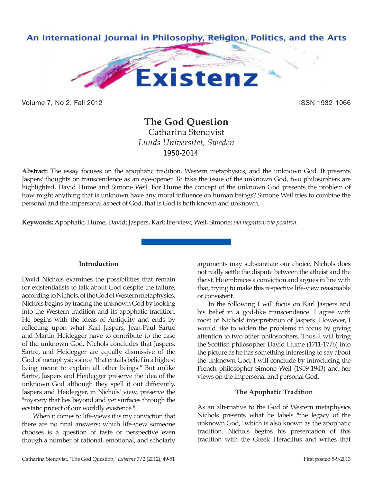

Volume 7, No 2, Fall 2012 **ISSN 1932-1066** 

# **The God Question**

Catharina Stenqvist *Lunds Universitet, Sweden* 1950-2014

**Abstract:** The essay focuses on the apophatic tradition, Western metaphysics, and the unknown God. It presents Jaspers' thoughts on transcendence as an eye-opener. To take the issue of the unknown God, two philosophers are highlighted, David Hume and Simone Weil. For Hume the concept of the unknown God presents the problem of how might anything that is unknown have any moral influence on human beings? Simone Weil tries to combine the personal and the impersonal aspect of God, that is God is both known and unknown.

**Keywords:** Apophatic; Hume, David; Jaspers, Karl; life-view; Weil, Simone; *via negativa*; *via positiva*.

# **Introduction**

David Nichols examines the possibilities that remain for existentialists to talk about God despite the failure, according to Nichols, of the God of Western metaphysics. Nichols begins by tracing the unknown God by looking into the Western tradition and its apophatic tradition. He begins with the ideas of Antiquity and ends by reflecting upon what Karl Jaspers, Jean-Paul Sartre and Martin Heidegger have to contribute to the case of the unknown God. Nichols concludes that Jaspers, Sartre, and Heidegger are equally dismissive of the God of metaphysics since "that entails belief in a highest being meant to explain all other beings." But unlike Sartre, Jaspers and Heidegger preserve the idea of the unknown God although they spell it out differently. Jaspers and Heidegger, in Nichols' view, preserve the "mystery that lies beyond and yet surfaces through the ecstatic project of our worldly existence."

When it comes to life-views it is my conviction that there are no final answers; which life-view someone chooses is a question of taste or perspective even though a number of rational, emotional, and scholarly

arguments may substantiate our choice. Nichols does not really settle the dispute between the atheist and the theist. He embraces a conviction and argues in line with that, trying to make this respective life-view reasonable or consistent.

In the following I will focus on Karl Jaspers and his belief in a god-like transcendence. I agree with most of Nichols' interpretation of Jaspers. However, I would like to widen the problems in focus by giving attention to two other philosophers. Thus, I will bring the Scottish philosopher David Hume (1711-1776) into the picture as he has something interesting to say about the unknown God. I will conclude by introducing the French philosopher Simone Weil (1909-1943) and her views on the impersonal and personal God.

# **The Apophatic Tradition**

As an alternative to the God of Western metaphysics Nichols presents what he labels "the legacy of the unknown God," which is also known as the apophatic tradition. Nichols begins his presentation of this tradition with the Greek Heraclitus and writes that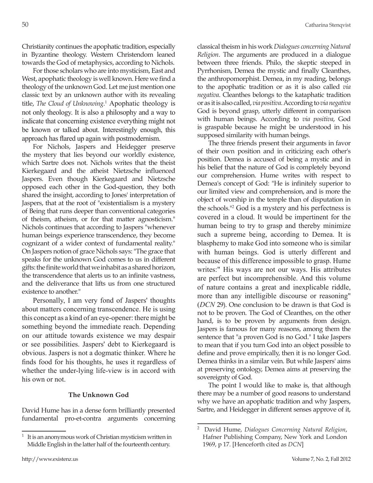Christianity continues the apophatic tradition, especially in Byzantine theology. Western Christendom leaned towards the God of metaphysics, according to Nichols.

For those scholars who are into mysticism, East and West, apophatic theology is well known. Here we find a theology of the unknown God. Let me just mention one classic text by an unknown author with its revealing title, *The Cloud of Unknowing*. 1 Apophatic theology is not only theology. It is also a philosophy and a way to indicate that concerning existence everything might not be known or talked about. Interestingly enough, this approach has flared up again with postmodernism.

For Nichols, Jaspers and Heidegger preserve the mystery that lies beyond our worldly existence, which Sartre does not. Nichols writes that the theist Kierkegaard and the atheist Nietzsche influenced Jaspers. Even though Kierkegaard and Nietzsche opposed each other in the God-question, they both shared the insight, according to Jones' interpretation of Jaspers, that at the root of "existentialism is a mystery of Being that runs deeper than conventional categories of theism, atheism, or for that matter agnosticism." Nichols continues that according to Jaspers "whenever human beings experience transcendence, they become cognizant of a wider context of fundamental reality." On Jaspers notion of grace Nichols says: "The grace that speaks for the unknown God comes to us in different gifts: the finite world that we inhabit as a shared horizon, the transcendence that alerts us to an infinite vastness, and the deliverance that lifts us from one structured existence to another."

Personally, I am very fond of Jaspers' thoughts about matters concerning transcendence. He is using this concept as a kind of an eye-opener: there might be something beyond the immediate reach. Depending on our attitude towards existence we may despair or see possibilities. Jaspers' debt to Kierkegaard is obvious. Jaspers is not a dogmatic thinker. Where he finds food for his thoughts, he uses it regardless of whether the under-lying life-view is in accord with his own or not.

## **The Unknown God**

David Hume has in a dense form brilliantly presented fundamental pro-et-contra arguments concerning classical theism in his work *Dialogues concerning Natural Religion*. The arguments are produced in a dialogue between three friends. Philo, the skeptic steeped in Pyrrhonism, Demea the mystic and finally Cleanthes, the anthropomorphist. Demea, in my reading, belongs to the apophatic tradition or as it is also called *via negativa*. Cleanthes belongs to the kataphatic tradition or as it is also called, *via positiva*. According to *via negativa* God is beyond grasp, utterly different in comparison with human beings. According to *via positiva*, God is graspable because he might be understood in his supposed similarity with human beings.

The three friends present their arguments in favor of their own position and in criticizing each other's position. Demea is accused of being a mystic and in his belief that the nature of God is completely beyond our comprehension. Hume writes with respect to Demea's concept of God: "He is infinitely superior to our limited view and comprehension, and is more the object of worship in the temple than of disputation in the schools."<sup>2</sup> God is a mystery and his perfectness is covered in a cloud. It would be impertinent for the human being to try to grasp and thereby minimize such a supreme being, according to Demea. It is blasphemy to make God into someone who is similar with human beings. God is utterly different and because of this difference impossible to grasp. Hume writes:" His ways are not our ways. His attributes are perfect but incomprehensible. And this volume of nature contains a great and inexplicable riddle, more than any intelligible discourse or reasoning" (*DCN* 29). One conclusion to be drawn is that God is not to be proven. The God of Cleanthes, on the other hand, is to be proven by arguments from design. Jaspers is famous for many reasons, among them the sentence that "a proven God is no God." I take Jaspers to mean that if you turn God into an object possible to define and prove empirically, then it is no longer God. Demea thinks in a similar vein. But while Jaspers' aims at preserving ontology, Demea aims at preserving the sovereignty of God.

The point I would like to make is, that although there may be a number of good reasons to understand why we have an apophatic tradition and why Jaspers, Sartre, and Heidegger in different senses approve of it,

It is an anonymous work of Christian mysticism written in Middle English in the latter half of the fourteenth century.

<sup>2</sup> David Hume, *Dialogues Concerning Natural Religion*, Hafner Publishing Company, New York and London 1969, p 17. [Henceforth cited as *DCN*]